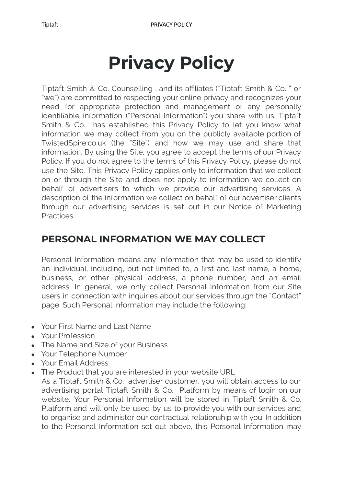# **Privacy Policy**

Tiptaft Smith & Co. Counselling . and its affiliates ("Tiptaft Smith & Co. " or "we") are committed to respecting your online privacy and recognizes your need for appropriate protection and management of any personally identifiable information ("Personal Information") you share with us. Tiptaft Smith & Co. has established this Privacy Policy to let you know what information we may collect from you on the publicly available portion of TwistedSpire.co.uk (the "Site") and how we may use and share that information. By using the Site, you agree to accept the terms of our Privacy Policy. If you do not agree to the terms of this Privacy Policy, please do not use the Site. This Privacy Policy applies only to information that we collect on or through the Site and does not apply to information we collect on behalf of advertisers to which we provide our advertising services. A description of the information we collect on behalf of our advertiser clients through our advertising services is set out in our Notice of Marketing Practices.

### **PERSONAL INFORMATION WE MAY COLLECT**

Personal Information means any information that may be used to identify an individual, including, but not limited to, a first and last name, a home, business, or other physical address, a phone number, and an email address. In general, we only collect Personal Information from our Site users in connection with inquiries about our services through the "Contact" page. Such Personal Information may include the following:

- Your First Name and Last Name
- Your Profession
- The Name and Size of your Business
- Your Telephone Number
- Your Email Address
- The Product that you are interested in your website URL

As a Tiptaft Smith & Co. advertiser customer, you will obtain access to our advertising portal Tiptaft Smith & Co. Platform by means of login on our website. Your Personal Information will be stored in Tiptaft Smith & Co. Platform and will only be used by us to provide you with our services and to organise and administer our contractual relationship with you. In addition to the Personal Information set out above, this Personal Information may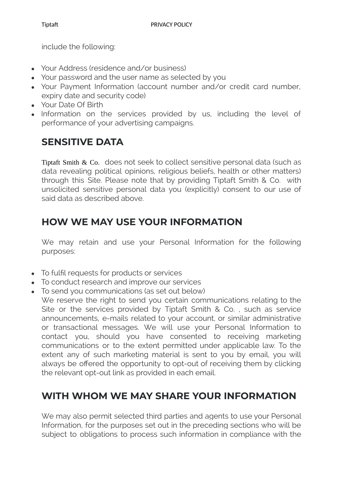include the following:

- Your Address (residence and/or business)
- Your password and the user name as selected by you
- Your Payment Information (account number and/or credit card number, expiry date and security code)
- Your Date Of Birth
- Information on the services provided by us, including the level of performance of your advertising campaigns.

## **SENSITIVE DATA**

Tiptaft Smith & Co. does not seek to collect sensitive personal data (such as data revealing political opinions, religious beliefs, health or other matters) through this Site. Please note that by providing Tiptaft Smith & Co. with unsolicited sensitive personal data you (explicitly) consent to our use of said data as described above.

## **HOW WE MAY USE YOUR INFORMATION**

We may retain and use your Personal Information for the following purposes:

- To fulfil requests for products or services
- To conduct research and improve our services
- To send you communications (as set out below)
	- We reserve the right to send you certain communications relating to the Site or the services provided by Tiptaft Smith & Co. , such as service announcements, e-mails related to your account, or similar administrative or transactional messages. We will use your Personal Information to contact you, should you have consented to receiving marketing communications or to the extent permitted under applicable law. To the extent any of such marketing material is sent to you by email, you will always be offered the opportunity to opt-out of receiving them by clicking the relevant opt-out link as provided in each email.

### **WITH WHOM WE MAY SHARE YOUR INFORMATION**

We may also permit selected third parties and agents to use your Personal Information, for the purposes set out in the preceding sections who will be subject to obligations to process such information in compliance with the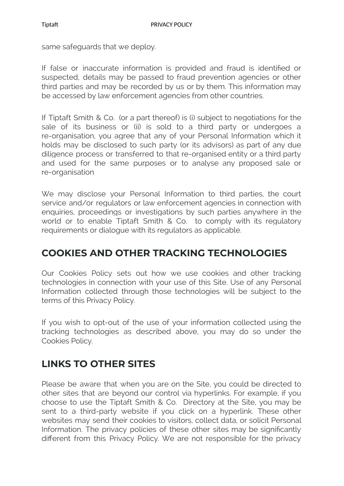same safeguards that we deploy.

If false or inaccurate information is provided and fraud is identified or suspected, details may be passed to fraud prevention agencies or other third parties and may be recorded by us or by them. This information may be accessed by law enforcement agencies from other countries.

If Tiptaft Smith & Co. (or a part thereof) is (i) subject to negotiations for the sale of its business or (ii) is sold to a third party or undergoes a re-organisation, you agree that any of your Personal Information which it holds may be disclosed to such party (or its advisors) as part of any due diligence process or transferred to that re-organised entity or a third party and used for the same purposes or to analyse any proposed sale or re-organisation

We may disclose your Personal Information to third parties, the court service and/or regulators or law enforcement agencies in connection with enquiries, proceedings or investigations by such parties anywhere in the world or to enable Tiptaft Smith & Co. to comply with its regulatory requirements or dialogue with its regulators as applicable.

#### **COOKIES AND OTHER TRACKING TECHNOLOGIES**

Our Cookies Policy sets out how we use cookies and other tracking technologies in connection with your use of this Site. Use of any Personal Information collected through those technologies will be subject to the terms of this Privacy Policy.

If you wish to opt-out of the use of your information collected using the tracking technologies as described above, you may do so under the Cookies Policy.

### **LINKS TO OTHER SITES**

Please be aware that when you are on the Site, you could be directed to other sites that are beyond our control via hyperlinks. For example, if you choose to use the Tiptaft Smith & Co. Directory at the Site, you may be sent to a third-party website if you click on a hyperlink. These other websites may send their cookies to visitors, collect data, or solicit Personal Information. The privacy policies of these other sites may be significantly different from this Privacy Policy. We are not responsible for the privacy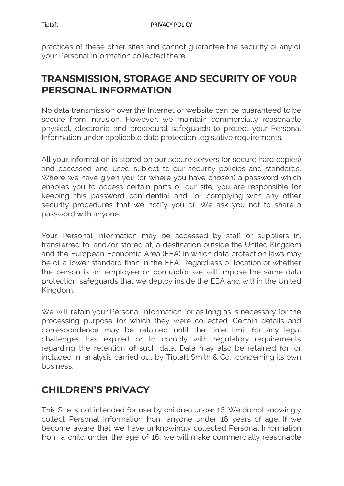practices of these other sites and cannot guarantee the security of any of your Personal Information collected there.

#### **TRANSMISSION, STORAGE AND SECURITY OF YOUR PERSONAL INFORMATION**

No data transmission over the Internet or website can be guaranteed to be secure from intrusion. However, we maintain commercially reasonable physical, electronic and procedural safeguards to protect your Personal Information under applicable data protection legislative requirements.

All your information is stored on our secure servers (or secure hard copies) and accessed and used subject to our security policies and standards. Where we have given you (or where you have chosen) a password which enables you to access certain parts of our site, you are responsible for keeping this password confidential and for complying with any other security procedures that we notify you of. We ask you not to share a password with anyone.

Your Personal Information may be accessed by staff or suppliers in, transferred to, and/or stored at, a destination outside the United Kingdom and the European Economic Area (EEA) in which data protection laws may be of a lower standard than in the EEA. Regardless of location or whether the person is an employee or contractor we will impose the same data protection safeguards that we deploy inside the EEA and within the United Kingdom.

We will retain your Personal Information for as long as is necessary for the processing purpose for which they were collected. Certain details and correspondence may be retained until the time limit for any legal challenges has expired or to comply with regulatory requirements regarding the retention of such data. Data may also be retained for, or included in, analysis carried out by Tiptaft Smith & Co. concerning its own business.

### **CHILDREN'S PRIVACY**

This Site is not intended for use by children under 16. We do not knowingly collect Personal Information from anyone under 16 years of age. If we become aware that we have unknowingly collected Personal Information from a child under the age of 16, we will make commercially reasonable